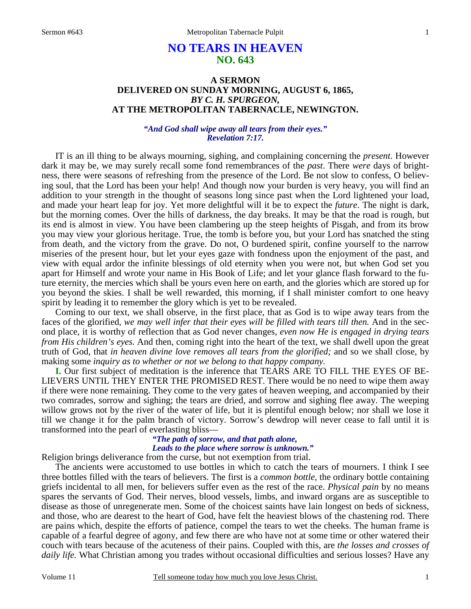# **NO TEARS IN HEAVEN NO. 643**

# **A SERMON DELIVERED ON SUNDAY MORNING, AUGUST 6, 1865,**  *BY C. H. SPURGEON,*  **AT THE METROPOLITAN TABERNACLE, NEWINGTON.**

### *"And God shall wipe away all tears from their eyes." Revelation 7:17.*

IT is an ill thing to be always mourning, sighing, and complaining concerning the *present*. However dark it may be, we may surely recall some fond remembrances of the *past*. There *were* days of brightness, there were seasons of refreshing from the presence of the Lord. Be not slow to confess, O believing soul, that the Lord has been your help! And though now your burden is very heavy, you will find an addition to your strength in the thought of seasons long since past when the Lord lightened your load, and made your heart leap for joy. Yet more delightful will it be to expect the *future*. The night is dark, but the morning comes. Over the hills of darkness, the day breaks. It may be that the road is rough, but its end is almost in view. You have been clambering up the steep heights of Pisgah, and from its brow you may view your glorious heritage. True, the tomb is before you, but your Lord has snatched the sting from death, and the victory from the grave. Do not, O burdened spirit, confine yourself to the narrow miseries of the present hour, but let your eyes gaze with fondness upon the enjoyment of the past, and view with equal ardor the infinite blessings of old eternity when you were not, but when God set you apart for Himself and wrote your name in His Book of Life; and let your glance flash forward to the future eternity, the mercies which shall be yours even here on earth, and the glories which are stored up for you beyond the skies. I shall be well rewarded, this morning, if I shall minister comfort to one heavy spirit by leading it to remember the glory which is yet to be revealed.

 Coming to our text, we shall observe, in the first place, that as God is to wipe away tears from the faces of the glorified, *we may well infer that their eyes will be filled with tears till then.* And in the second place, it is worthy of reflection that as God never changes, *even now He is engaged in drying tears from His children's eyes.* And then, coming right into the heart of the text, we shall dwell upon the great truth of God, that *in heaven divine love removes all tears from the glorified;* and so we shall close, by making some *inquiry as to whether or not we belong to that happy company.* 

**I.** Our first subject of meditation is the inference that TEARS ARE TO FILL THE EYES OF BE-LIEVERS UNTIL THEY ENTER THE PROMISED REST. There would be no need to wipe them away if there were none remaining. They come to the very gates of heaven weeping, and accompanied by their two comrades, sorrow and sighing; the tears are dried, and sorrow and sighing flee away. The weeping willow grows not by the river of the water of life, but it is plentiful enough below; nor shall we lose it till we change it for the palm branch of victory. Sorrow's dewdrop will never cease to fall until it is transformed into the pearl of everlasting bliss—

# *"The path of sorrow, and that path alone, Leads to the place where sorrow is unknown."*

Religion brings deliverance from the curse, but not exemption from trial.

 The ancients were accustomed to use bottles in which to catch the tears of mourners. I think I see three bottles filled with the tears of believers. The first is a *common bottle,* the ordinary bottle containing griefs incidental to all men, for believers suffer even as the rest of the race. *Physical pain* by no means spares the servants of God. Their nerves, blood vessels, limbs, and inward organs are as susceptible to disease as those of unregenerate men. Some of the choicest saints have lain longest on beds of sickness, and those, who are dearest to the heart of God, have felt the heaviest blows of the chastening rod. There are pains which, despite the efforts of patience, compel the tears to wet the cheeks. The human frame is capable of a fearful degree of agony, and few there are who have not at some time or other watered their couch with tears because of the acuteness of their pains. Coupled with this, are *the losses and crosses of daily life.* What Christian among you trades without occasional difficulties and serious losses? Have any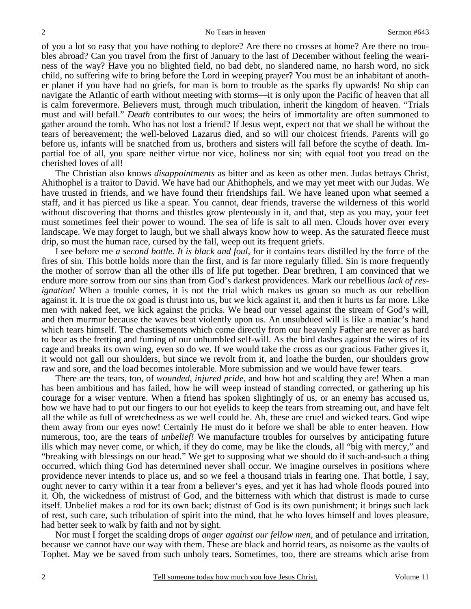of you a lot so easy that you have nothing to deplore? Are there no crosses at home? Are there no troubles abroad? Can you travel from the first of January to the last of December without feeling the weariness of the way? Have you no blighted field, no bad debt, no slandered name, no harsh word, no sick child, no suffering wife to bring before the Lord in weeping prayer? You must be an inhabitant of another planet if you have had no griefs, for man is born to trouble as the sparks fly upwards! No ship can navigate the Atlantic of earth without meeting with storms—it is only upon the Pacific of heaven that all is calm forevermore. Believers must, through much tribulation, inherit the kingdom of heaven. "Trials must and will befall." *Death* contributes to our woes; the heirs of immortality are often summoned to gather around the tomb. Who has not lost a friend? If Jesus wept, expect not that we shall be without the tears of bereavement; the well-beloved Lazarus died, and so will our choicest friends. Parents will go before us, infants will be snatched from us, brothers and sisters will fall before the scythe of death. Impartial foe of all, you spare neither virtue nor vice, holiness nor sin; with equal foot you tread on the cherished loves of all!

 The Christian also knows *disappointments* as bitter and as keen as other men. Judas betrays Christ, Ahithophel is a traitor to David. We have had our Ahithophels, and we may yet meet with our Judas. We have trusted in friends, and we have found their friendships fail. We have leaned upon what seemed a staff, and it has pierced us like a spear. You cannot, dear friends, traverse the wilderness of this world without discovering that thorns and thistles grow plenteously in it, and that, step as you may, your feet must sometimes feel their power to wound. The sea of life is salt to all men. Clouds hover over every landscape. We may forget to laugh, but we shall always know how to weep. As the saturated fleece must drip, so must the human race, cursed by the fall, weep out its frequent griefs.

 I see before me *a second bottle. It is black and foul,* for it contains tears distilled by the force of the fires of sin. This bottle holds more than the first, and is far more regularly filled. Sin is more frequently the mother of sorrow than all the other ills of life put together. Dear brethren, I am convinced that we endure more sorrow from our sins than from God's darkest providences. Mark our rebellious *lack of resignation!* When a trouble comes, it is not the trial which makes us groan so much as our rebellion against it. It is true the ox goad is thrust into us, but we kick against it, and then it hurts us far more. Like men with naked feet, we kick against the pricks. We head our vessel against the stream of God's will, and then murmur because the waves beat violently upon us. An unsubdued will is like a maniac's hand which tears himself. The chastisements which come directly from our heavenly Father are never as hard to bear as the fretting and fuming of our unhumbled self-will. As the bird dashes against the wires of its cage and breaks its own wing, even so do we. If we would take the cross as our gracious Father gives it, it would not gall our shoulders, but since we revolt from it, and loathe the burden, our shoulders grow raw and sore, and the load becomes intolerable. More submission and we would have fewer tears.

 There are the tears, too, of *wounded, injured pride,* and how hot and scalding they are! When a man has been ambitious and has failed, how he will weep instead of standing corrected, or gathering up his courage for a wiser venture. When a friend has spoken slightingly of us, or an enemy has accused us, how we have had to put our fingers to our hot eyelids to keep the tears from streaming out, and have felt all the while as full of wretchedness as we well could be. Ah, these are cruel and wicked tears. God wipe them away from our eyes now! Certainly He must do it before we shall be able to enter heaven. How numerous, too, are the tears of *unbelief!* We manufacture troubles for ourselves by anticipating future ills which may never come, or which, if they do come, may be like the clouds, all "big with mercy," and "breaking with blessings on our head." We get to supposing what we should do if such-and-such a thing occurred, which thing God has determined never shall occur. We imagine ourselves in positions where providence never intends to place us, and so we feel a thousand trials in fearing one. That bottle, I say, ought never to carry within it a tear from a believer's eyes, and yet it has had whole floods poured into it. Oh, the wickedness of mistrust of God, and the bitterness with which that distrust is made to curse itself. Unbelief makes a rod for its own back; distrust of God is its own punishment; it brings such lack of rest, such care, such tribulation of spirit into the mind, that he who loves himself and loves pleasure, had better seek to walk by faith and not by sight.

 Nor must I forget the scalding drops of *anger against our fellow men,* and of petulance and irritation, because we cannot have our way with them. These are black and horrid tears, as noisome as the vaults of Tophet. May we be saved from such unholy tears. Sometimes, too, there are streams which arise from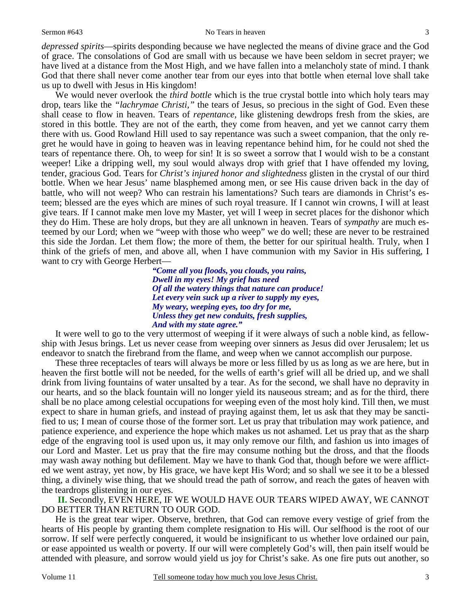#### Sermon #643 No Tears in heaven

3

*depressed spirits*—spirits desponding because we have neglected the means of divine grace and the God of grace. The consolations of God are small with us because we have been seldom in secret prayer; we have lived at a distance from the Most High, and we have fallen into a melancholy state of mind. I thank God that there shall never come another tear from our eyes into that bottle when eternal love shall take us up to dwell with Jesus in His kingdom!

 We would never overlook the *third bottle* which is the true crystal bottle into which holy tears may drop, tears like the *"lachrymae Christi,"* the tears of Jesus, so precious in the sight of God. Even these shall cease to flow in heaven. Tears of *repentance,* like glistening dewdrops fresh from the skies, are stored in this bottle. They are not of the earth, they come from heaven, and yet we cannot carry them there with us. Good Rowland Hill used to say repentance was such a sweet companion, that the only regret he would have in going to heaven was in leaving repentance behind him, for he could not shed the tears of repentance there. Oh, to weep for sin! It is so sweet a sorrow that I would wish to be a constant weeper! Like a dripping well, my soul would always drop with grief that I have offended my loving, tender, gracious God. Tears for *Christ's injured honor and slightedness* glisten in the crystal of our third bottle. When we hear Jesus' name blasphemed among men, or see His cause driven back in the day of battle, who will not weep? Who can restrain his lamentations? Such tears are diamonds in Christ's esteem; blessed are the eyes which are mines of such royal treasure. If I cannot win crowns, I will at least give tears. If I cannot make men love my Master, yet will I weep in secret places for the dishonor which they do Him. These are holy drops, but they are all unknown in heaven. Tears of *sympathy* are much esteemed by our Lord; when we "weep with those who weep" we do well; these are never to be restrained this side the Jordan. Let them flow; the more of them, the better for our spiritual health. Truly, when I think of the griefs of men, and above all, when I have communion with my Savior in His suffering, I want to cry with George Herbert—

> *"Come all you floods, you clouds, you rains, Dwell in my eyes! My grief has need Of all the watery things that nature can produce! Let every vein suck up a river to supply my eyes, My weary, weeping eyes, too dry for me, Unless they get new conduits, fresh supplies, And with my state agree."*

It were well to go to the very uttermost of weeping if it were always of such a noble kind, as fellowship with Jesus brings. Let us never cease from weeping over sinners as Jesus did over Jerusalem; let us endeavor to snatch the firebrand from the flame, and weep when we cannot accomplish our purpose.

 These three receptacles of tears will always be more or less filled by us as long as we are here, but in heaven the first bottle will not be needed, for the wells of earth's grief will all be dried up, and we shall drink from living fountains of water unsalted by a tear. As for the second, we shall have no depravity in our hearts, and so the black fountain will no longer yield its nauseous stream; and as for the third, there shall be no place among celestial occupations for weeping even of the most holy kind. Till then, we must expect to share in human griefs, and instead of praying against them, let us ask that they may be sanctified to us; I mean of course those of the former sort. Let us pray that tribulation may work patience, and patience experience, and experience the hope which makes us not ashamed. Let us pray that as the sharp edge of the engraving tool is used upon us, it may only remove our filth, and fashion us into images of our Lord and Master. Let us pray that the fire may consume nothing but the dross, and that the floods may wash away nothing but defilement. May we have to thank God that, though before we were afflicted we went astray, yet now, by His grace, we have kept His Word; and so shall we see it to be a blessed thing, a divinely wise thing, that we should tread the path of sorrow, and reach the gates of heaven with the teardrops glistening in our eyes.

 **II.** Secondly, EVEN HERE, IF WE WOULD HAVE OUR TEARS WIPED AWAY, WE CANNOT DO BETTER THAN RETURN TO OUR GOD.

 He is the great tear wiper. Observe, brethren, that God can remove every vestige of grief from the hearts of His people by granting them complete resignation to His will. Our selfhood is the root of our sorrow. If self were perfectly conquered, it would be insignificant to us whether love ordained our pain, or ease appointed us wealth or poverty. If our will were completely God's will, then pain itself would be attended with pleasure, and sorrow would yield us joy for Christ's sake. As one fire puts out another, so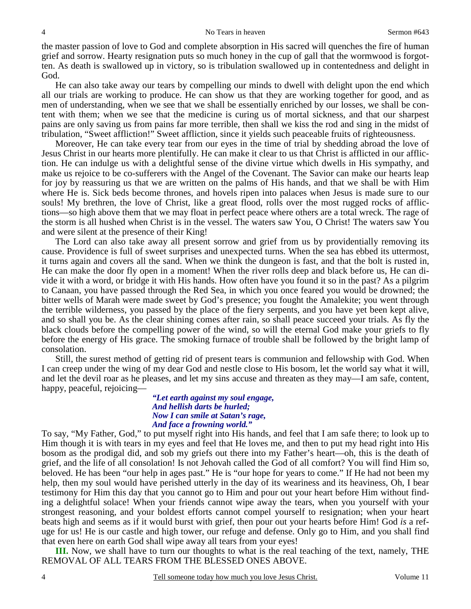the master passion of love to God and complete absorption in His sacred will quenches the fire of human grief and sorrow. Hearty resignation puts so much honey in the cup of gall that the wormwood is forgotten. As death is swallowed up in victory, so is tribulation swallowed up in contentedness and delight in God.

 He can also take away our tears by compelling our minds to dwell with delight upon the end which all our trials are working to produce. He can show us that they are working together for good, and as men of understanding, when we see that we shall be essentially enriched by our losses, we shall be content with them; when we see that the medicine is curing us of mortal sickness, and that our sharpest pains are only saving us from pains far more terrible, then shall we kiss the rod and sing in the midst of tribulation, "Sweet affliction!" Sweet affliction, since it yields such peaceable fruits of righteousness.

 Moreover, He can take every tear from our eyes in the time of trial by shedding abroad the love of Jesus Christ in our hearts more plentifully. He can make it clear to us that Christ is afflicted in our affliction. He can indulge us with a delightful sense of the divine virtue which dwells in His sympathy, and make us rejoice to be co-sufferers with the Angel of the Covenant. The Savior can make our hearts leap for joy by reassuring us that we are written on the palms of His hands, and that we shall be with Him where He is. Sick beds become thrones, and hovels ripen into palaces when Jesus is made sure to our souls! My brethren, the love of Christ, like a great flood, rolls over the most rugged rocks of afflictions—so high above them that we may float in perfect peace where others are a total wreck. The rage of the storm is all hushed when Christ is in the vessel. The waters saw You, O Christ! The waters saw You and were silent at the presence of their King!

 The Lord can also take away all present sorrow and grief from us by providentially removing its cause. Providence is full of sweet surprises and unexpected turns. When the sea has ebbed its uttermost, it turns again and covers all the sand. When we think the dungeon is fast, and that the bolt is rusted in, He can make the door fly open in a moment! When the river rolls deep and black before us, He can divide it with a word, or bridge it with His hands. How often have you found it so in the past? As a pilgrim to Canaan, you have passed through the Red Sea, in which you once feared you would be drowned; the bitter wells of Marah were made sweet by God's presence; you fought the Amalekite; you went through the terrible wilderness, you passed by the place of the fiery serpents, and you have yet been kept alive, and so shall you be. As the clear shining comes after rain, so shall peace succeed your trials. As fly the black clouds before the compelling power of the wind, so will the eternal God make your griefs to fly before the energy of His grace. The smoking furnace of trouble shall be followed by the bright lamp of consolation.

 Still, the surest method of getting rid of present tears is communion and fellowship with God. When I can creep under the wing of my dear God and nestle close to His bosom, let the world say what it will, and let the devil roar as he pleases, and let my sins accuse and threaten as they may—I am safe, content, happy, peaceful, rejoicing—

> *"Let earth against my soul engage, And hellish darts be hurled; Now I can smile at Satan's rage, And face a frowning world."*

To say, "My Father, God," to put myself right into His hands, and feel that I am safe there; to look up to Him though it is with tears in my eyes and feel that He loves me, and then to put my head right into His bosom as the prodigal did, and sob my griefs out there into my Father's heart—oh, this is the death of grief, and the life of all consolation! Is not Jehovah called the God of all comfort? You will find Him so, beloved. He has been "our help in ages past." He is "our hope for years to come." If He had not been my help, then my soul would have perished utterly in the day of its weariness and its heaviness, Oh, I bear testimony for Him this day that you cannot go to Him and pour out your heart before Him without finding a delightful solace! When your friends cannot wipe away the tears, when you yourself with your strongest reasoning, and your boldest efforts cannot compel yourself to resignation; when your heart beats high and seems as if it would burst with grief, then pour out your hearts before Him! God *is* a refuge for us! He is our castle and high tower, our refuge and defense. Only go to Him, and you shall find that even here on earth God shall wipe away all tears from your eyes!

**III.** Now, we shall have to turn our thoughts to what is the real teaching of the text, namely, THE REMOVAL OF ALL TEARS FROM THE BLESSED ONES ABOVE.

4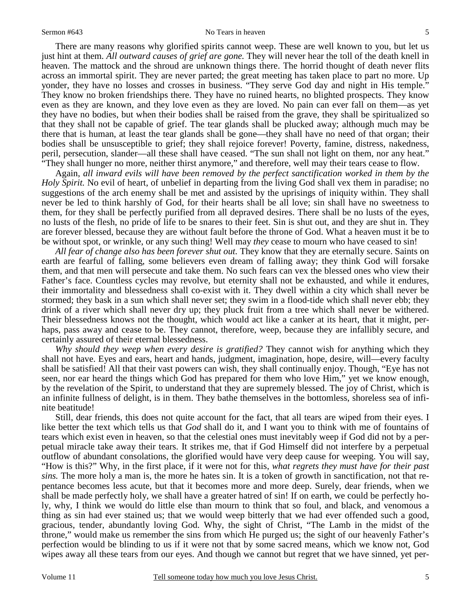#### Sermon #643 No Tears in heaven

 There are many reasons why glorified spirits cannot weep. These are well known to you, but let us just hint at them. *All outward causes of grief are gone.* They will never hear the toll of the death knell in heaven. The mattock and the shroud are unknown things there. The horrid thought of death never flits across an immortal spirit. They are never parted; the great meeting has taken place to part no more. Up yonder, they have no losses and crosses in business. "They serve God day and night in His temple." They know no broken friendships there. They have no ruined hearts, no blighted prospects. They know even as they are known, and they love even as they are loved. No pain can ever fall on them—as yet they have no bodies, but when their bodies shall be raised from the grave, they shall be spiritualized so that they shall not be capable of grief. The tear glands shall be plucked away; although much may be there that is human, at least the tear glands shall be gone—they shall have no need of that organ; their bodies shall be unsusceptible to grief; they shall rejoice forever! Poverty, famine, distress, nakedness, peril, persecution, slander—all these shall have ceased. "The sun shall not light on them, nor any heat." "They shall hunger no more, neither thirst anymore," and therefore, well may their tears cease to flow.

 Again, *all inward evils will have been removed by the perfect sanctification worked in them by the Holy Spirit.* No evil of heart, of unbelief in departing from the living God shall vex them in paradise; no suggestions of the arch enemy shall be met and assisted by the uprisings of iniquity within. They shall never be led to think harshly of God, for their hearts shall be all love; sin shall have no sweetness to them, for they shall be perfectly purified from all depraved desires. There shall be no lusts of the eyes, no lusts of the flesh, no pride of life to be snares to their feet. Sin is shut out, and they are shut in. They are forever blessed, because they are without fault before the throne of God. What a heaven must it be to be without spot, or wrinkle, or any such thing! Well may *they* cease to mourn who have ceased to sin!

*All fear of change also has been forever shut out.* They know that they are eternally secure. Saints on earth are fearful of falling, some believers even dream of falling away; they think God will forsake them, and that men will persecute and take them. No such fears can vex the blessed ones who view their Father's face. Countless cycles may revolve, but eternity shall not be exhausted, and while it endures, their immortality and blessedness shall co-exist with it. They dwell within a city which shall never be stormed; they bask in a sun which shall never set; they swim in a flood-tide which shall never ebb; they drink of a river which shall never dry up; they pluck fruit from a tree which shall never be withered. Their blessedness knows not the thought, which would act like a canker at its heart, that it might, perhaps, pass away and cease to be. They cannot, therefore, weep, because they are infallibly secure, and certainly assured of their eternal blessedness.

*Why should they weep when every desire is gratified?* They cannot wish for anything which they shall not have. Eyes and ears, heart and hands, judgment, imagination, hope, desire, will—every faculty shall be satisfied! All that their vast powers can wish, they shall continually enjoy. Though, "Eye has not seen, nor ear heard the things which God has prepared for them who love Him," yet we know enough, by the revelation of the Spirit, to understand that they are supremely blessed. The joy of Christ, which is an infinite fullness of delight, is in them. They bathe themselves in the bottomless, shoreless sea of infinite beatitude!

 Still, dear friends, this does not quite account for the fact, that all tears are wiped from their eyes. I like better the text which tells us that *God* shall do it, and I want you to think with me of fountains of tears which exist even in heaven, so that the celestial ones must inevitably weep if God did not by a perpetual miracle take away their tears. It strikes me, that if God Himself did not interfere by a perpetual outflow of abundant consolations, the glorified would have very deep cause for weeping. You will say, "How is this?" Why, in the first place, if it were not for this, *what regrets they must have for their past sins.* The more holy a man is, the more he hates sin. It is a token of growth in sanctification, not that repentance becomes less acute, but that it becomes more and more deep. Surely, dear friends, when we shall be made perfectly holy, we shall have a greater hatred of sin! If on earth, we could be perfectly holy, why, I think we would do little else than mourn to think that so foul, and black, and venomous a thing as sin had ever stained us; that we would weep bitterly that we had ever offended such a good, gracious, tender, abundantly loving God. Why, the sight of Christ, "The Lamb in the midst of the throne," would make us remember the sins from which He purged us; the sight of our heavenly Father's perfection would be blinding to us if it were not that by some sacred means, which we know not, God wipes away all these tears from our eyes. And though we cannot but regret that we have sinned, yet per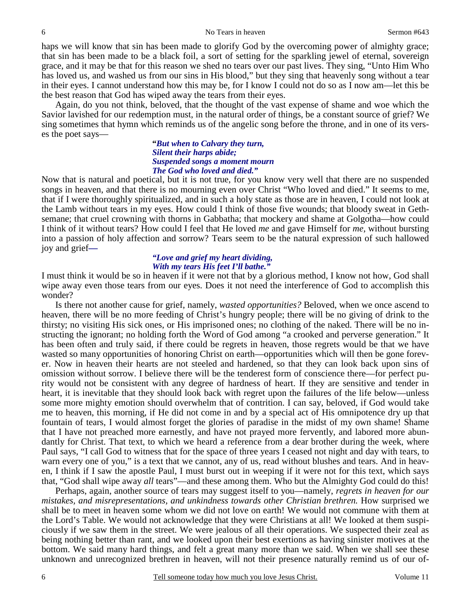haps we will know that sin has been made to glorify God by the overcoming power of almighty grace; that sin has been made to be a black foil, a sort of setting for the sparkling jewel of eternal, sovereign grace, and it may be that for this reason we shed no tears over our past lives. They sing, "Unto Him Who has loved us, and washed us from our sins in His blood," but they sing that heavenly song without a tear in their eyes. I cannot understand how this may be, for I know I could not do so as I now am—let this be the best reason that God has wiped away the tears from their eyes.

 Again, do you not think, beloved, that the thought of the vast expense of shame and woe which the Savior lavished for our redemption must, in the natural order of things, be a constant source of grief? We sing sometimes that hymn which reminds us of the angelic song before the throne, and in one of its verses the poet says—

> **"***But when to Calvary they turn, Silent their harps abide; Suspended songs a moment mourn The God who loved and died."*

Now that is natural and poetical, but it is not true, for you know very well that there are no suspended songs in heaven, and that there is no mourning even over Christ "Who loved and died." It seems to me, that if I were thoroughly spiritualized, and in such a holy state as those are in heaven, I could not look at the Lamb without tears in my eyes. How could I think of those five wounds; that bloody sweat in Gethsemane; that cruel crowning with thorns in Gabbatha; that mockery and shame at Golgotha—how could I think of it without tears? How could I feel that He loved *me* and gave Himself for *me,* without bursting into a passion of holy affection and sorrow? Tears seem to be the natural expression of such hallowed joy and grief*—* 

### *"Love and grief my heart dividing, With my tears His feet I'll bathe."*

I must think it would be so in heaven if it were not that by a glorious method, I know not how, God shall wipe away even those tears from our eyes. Does it not need the interference of God to accomplish this wonder?

 Is there not another cause for grief, namely, *wasted opportunities?* Beloved, when we once ascend to heaven, there will be no more feeding of Christ's hungry people; there will be no giving of drink to the thirsty; no visiting His sick ones, or His imprisoned ones; no clothing of the naked. There will be no instructing the ignorant; no holding forth the Word of God among "a crooked and perverse generation." It has been often and truly said, if there could be regrets in heaven, those regrets would be that we have wasted so many opportunities of honoring Christ on earth—opportunities which will then be gone forever. Now in heaven their hearts are not steeled and hardened, so that they can look back upon sins of omission without sorrow. I believe there will be the tenderest form of conscience there—for perfect purity would not be consistent with any degree of hardness of heart. If they are sensitive and tender in heart, it is inevitable that they should look back with regret upon the failures of the life below—unless some more mighty emotion should overwhelm that of contrition. I can say, beloved, if God would take me to heaven, this morning, if He did not come in and by a special act of His omnipotence dry up that fountain of tears, I would almost forget the glories of paradise in the midst of my own shame! Shame that I have not preached more earnestly, and have not prayed more fervently, and labored more abundantly for Christ. That text, to which we heard a reference from a dear brother during the week, where Paul says, "I call God to witness that for the space of three years I ceased not night and day with tears, to warn every one of you," is a text that we cannot, any of us, read without blushes and tears. And in heaven, I think if I saw the apostle Paul, I must burst out in weeping if it were not for this text, which says that, "God shall wipe away *all* tears"—and these among them. Who but the Almighty God could do this!

 Perhaps, again, another source of tears may suggest itself to you—namely, *regrets in heaven for our mistakes, and misrepresentations, and unkindness towards other Christian brethren.* How surprised we shall be to meet in heaven some whom we did not love on earth! We would not commune with them at the Lord's Table. We would not acknowledge that they were Christians at all! We looked at them suspiciously if we saw them in the street. We were jealous of all their operations. We suspected their zeal as being nothing better than rant, and we looked upon their best exertions as having sinister motives at the bottom. We said many hard things, and felt a great many more than we said. When we shall see these unknown and unrecognized brethren in heaven, will not their presence naturally remind us of our of-

6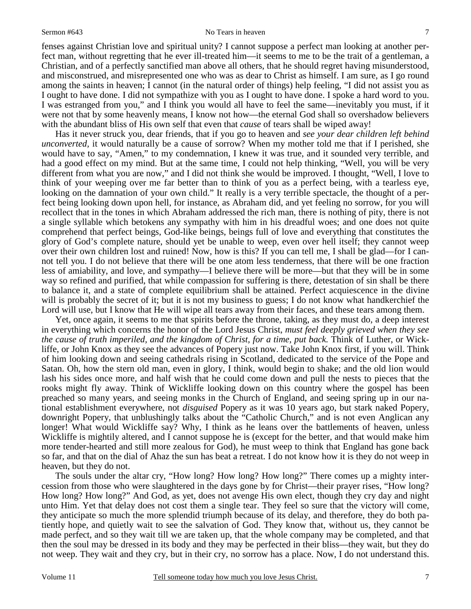#### Sermon #643 No Tears in heaven

fenses against Christian love and spiritual unity? I cannot suppose a perfect man looking at another perfect man, without regretting that he ever ill-treated him—it seems to me to be the trait of a gentleman, a Christian, and of a perfectly sanctified man above all others, that he should regret having misunderstood, and misconstrued, and misrepresented one who was as dear to Christ as himself. I am sure, as I go round among the saints in heaven; I cannot (in the natural order of things) help feeling, "I did not assist you as I ought to have done. I did not sympathize with you as I ought to have done. I spoke a hard word to you. I was estranged from you," and I think you would all have to feel the same—inevitably you must, if it were not that by some heavenly means, I know not how—the eternal God shall so overshadow believers with the abundant bliss of His own self that even that *cause* of tears shall be wiped away!

 Has it never struck you, dear friends, that if you go to heaven and *see your dear children left behind unconverted,* it would naturally be a cause of sorrow? When my mother told me that if I perished, she would have to say, "Amen," to my condemnation, I knew it was true, and it sounded very terrible, and had a good effect on my mind. But at the same time, I could not help thinking, "Well, you will be very different from what you are now," and I did not think she would be improved. I thought, "Well, I love to think of your weeping over me far better than to think of you as a perfect being, with a tearless eye, looking on the damnation of your own child." It really is a very terrible spectacle, the thought of a perfect being looking down upon hell, for instance, as Abraham did, and yet feeling no sorrow, for you will recollect that in the tones in which Abraham addressed the rich man, there is nothing of pity, there is not a single syllable which betokens any sympathy with him in his dreadful woes; and one does not quite comprehend that perfect beings, God-like beings, beings full of love and everything that constitutes the glory of God's complete nature, should yet be unable to weep, even over hell itself; they cannot weep over their own children lost and ruined! Now, how is this? If you can tell me, I shall be glad—for I cannot tell you. I do not believe that there will be one atom less tenderness, that there will be one fraction less of amiability, and love, and sympathy—I believe there will be more—but that they will be in some way so refined and purified, that while compassion for suffering is there, detestation of sin shall be there to balance it, and a state of complete equilibrium shall be attained. Perfect acquiescence in the divine will is probably the secret of it; but it is not my business to guess; I do not know what handkerchief the Lord will use, but I know that He will wipe all tears away from their faces, and these tears among them.

 Yet, once again, it seems to me that spirits before the throne, taking, as they must do, a deep interest in everything which concerns the honor of the Lord Jesus Christ, *must feel deeply grieved when they see the cause of truth imperiled, and the kingdom of Christ, for a time, put back.* Think of Luther, or Wickliffe, or John Knox as they see the advances of Popery just now. Take John Knox first, if you will. Think of him looking down and seeing cathedrals rising in Scotland, dedicated to the service of the Pope and Satan. Oh, how the stern old man, even in glory, I think, would begin to shake; and the old lion would lash his sides once more, and half wish that he could come down and pull the nests to pieces that the rooks might fly away. Think of Wickliffe looking down on this country where the gospel has been preached so many years, and seeing monks in the Church of England, and seeing spring up in our national establishment everywhere, not *disguised* Popery as it was 10 years ago, but stark naked Popery, downright Popery, that unblushingly talks about the "Catholic Church," and is not even Anglican any longer! What would Wickliffe say? Why, I think as he leans over the battlements of heaven, unless Wickliffe is mightily altered, and I cannot suppose he is (except for the better, and that would make him more tender-hearted and still more zealous for God), he must weep to think that England has gone back so far, and that on the dial of Ahaz the sun has beat a retreat. I do not know how it is they do not weep in heaven, but they do not.

 The souls under the altar cry, "How long? How long? How long?" There comes up a mighty intercession from those who were slaughtered in the days gone by for Christ—their prayer rises, "How long? How long? How long?" And God, as yet, does not avenge His own elect, though they cry day and night unto Him. Yet that delay does not cost them a single tear. They feel so sure that the victory will come, they anticipate so much the more splendid triumph because of its delay, and therefore, they do both patiently hope, and quietly wait to see the salvation of God. They know that, without us, they cannot be made perfect, and so they wait till we are taken up, that the whole company may be completed, and that then the soul may be dressed in its body and they may be perfected in their bliss—they wait, but they do not weep. They wait and they cry, but in their cry, no sorrow has a place. Now, I do not understand this.